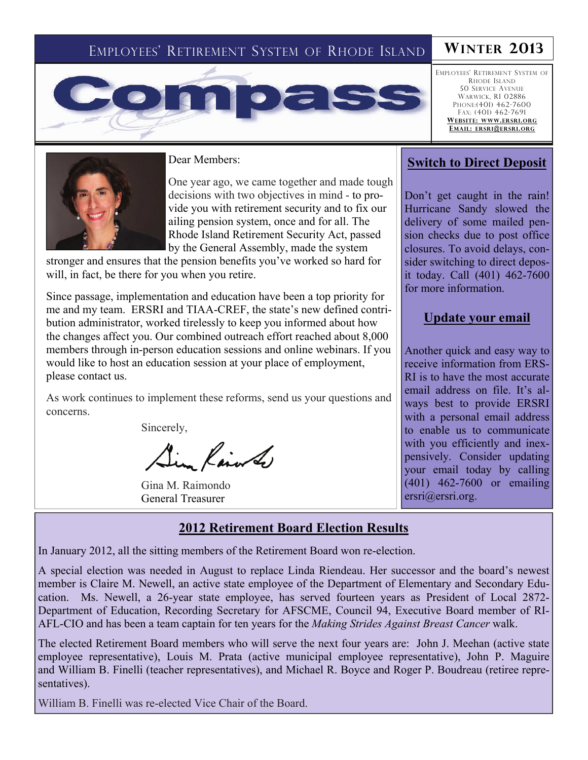## EMPLOYEES' RETIREMENT SYSTEM OF RHODE ISLAND **WINTER 2013**



EMPLOYEES' RETIREMENT SYSTEM OF RHODE ISLAND 50 SERVICE AVENUE WARWICK, RI 02886 PHONE:(401) 462-7600 FAX: (401) 462-7691 **WEBSITE: WWW.ERSRI.ORG EMAIL: ERSRI@ERSRI.ORG**



Dear Members:

One year ago, we came together and made tough decisions with two objectives in mind - to provide you with retirement security and to fix our ailing pension system, once and for all. The Rhode Island Retirement Security Act, passed by the General Assembly, made the system

stronger and ensures that the pension benefits you've worked so hard for will, in fact, be there for you when you retire.

Since passage, implementation and education have been a top priority for me and my team. ERSRI and TIAA-CREF, the state's new defined contribution administrator, worked tirelessly to keep you informed about how the changes affect you. Our combined outreach effort reached about 8,000 members through in-person education sessions and online webinars. If you would like to host an education session at your place of employment, please contact us.

As work continues to implement these reforms, send us your questions and concerns.

Sincerely,

in Rain of

Gina M. Raimondo General Treasurer

#### **Switch to Direct Deposit**

Don't get caught in the rain! Hurricane Sandy slowed the delivery of some mailed pension checks due to post office closures. To avoid delays, consider switching to direct deposit today. Call (401) 462-7600 for more information.

#### **Update your email**

Another quick and easy way to receive information from ERS-RI is to have the most accurate email address on file. It's always best to provide ERSRI with a personal email address to enable us to communicate with you efficiently and inexpensively. Consider updating your email today by calling (401) 462-7600 or emailing ersri@ersri.org.

## **2012 Retirement Board Election Results**

In January 2012, all the sitting members of the Retirement Board won re-election.

A special election was needed in August to replace Linda Riendeau. Her successor and the board's newest member is Claire M. Newell, an active state employee of the Department of Elementary and Secondary Education. Ms. Newell, a 26-year state employee, has served fourteen years as President of Local 2872- Department of Education, Recording Secretary for AFSCME, Council 94, Executive Board member of RI-AFL-CIO and has been a team captain for ten years for the *Making Strides Against Breast Cancer* walk.

The elected Retirement Board members who will serve the next four years are: John J. Meehan (active state employee representative), Louis M. Prata (active municipal employee representative), John P. Maguire and William B. Finelli (teacher representatives), and Michael R. Boyce and Roger P. Boudreau (retiree representatives).

William B. Finelli was re-elected Vice Chair of the Board.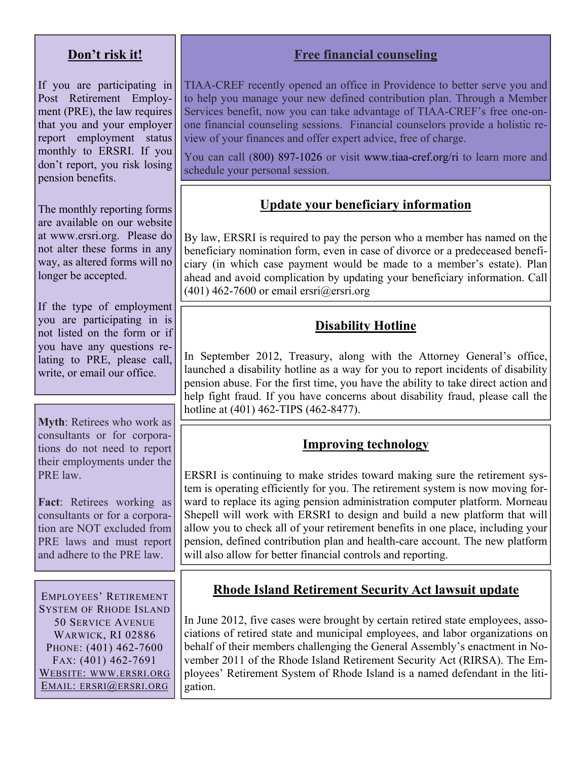#### **Don't risk it!**

If you are participating in Post Retirement Employment (PRE), the law requires that you and your employer report employment status monthly to ERSRI. If you don't report, you risk losing pension benefits.

The monthly reporting forms are available on our website at www.ersri.org. Please do not alter these forms in any way, as altered forms will no longer be accepted.

If the type of employment you are participating in is not listed on the form or if you have any questions relating to PRE, please call, write, or email our office.

**Myth**: Retirees who work as consultants or for corporations do not need to report their employments under the PRE law.

**Fact**: Retirees working as consultants or for a corporation are NOT excluded from PRE laws and must report and adhere to the PRE law.

EMPLOYEES' RETIREMENT SYSTEM OF RHODE ISLAND 50 SERVICE AVENUE WARWICK, RI 02886 PHONE: (401) 462-7600 FAX: (401) 462-7691 WEBSITE: WWW.ERSRI.ORG EMAIL: ERSRI@ERSRI.ORG

## **Free financial counseling**

TIAA-CREF recently opened an office in Providence to better serve you and to help you manage your new defined contribution plan. Through a Member Services benefit, now you can take advantage of TIAA-CREF's free one-onone financial counseling sessions. Financial counselors provide a holistic review of your finances and offer expert advice, free of charge.

You can call (800) 897-1026 or visit www.tiaa-cref.org/ri to learn more and schedule your personal session.

#### **Update your beneficiary information**

By law, ERSRI is required to pay the person who a member has named on the beneficiary nomination form, even in case of divorce or a predeceased beneficiary (in which case payment would be made to a member's estate). Plan ahead and avoid complication by updating your beneficiary information. Call  $(401)$  462-7600 or email ersri $@$ ersri.org

### **Disability Hotline**

In September 2012, Treasury, along with the Attorney General's office, launched a disability hotline as a way for you to report incidents of disability pension abuse. For the first time, you have the ability to take direct action and help fight fraud. If you have concerns about disability fraud, please call the hotline at (401) 462-TIPS (462-8477).

#### **Improving technology**

ERSRI is continuing to make strides toward making sure the retirement system is operating efficiently for you. The retirement system is now moving forward to replace its aging pension administration computer platform. Morneau Shepell will work with ERSRI to design and build a new platform that will allow you to check all of your retirement benefits in one place, including your pension, defined contribution plan and health-care account. The new platform will also allow for better financial controls and reporting.

#### **Rhode Island Retirement Security Act lawsuit update**

In June 2012, five cases were brought by certain retired state employees, associations of retired state and municipal employees, and labor organizations on behalf of their members challenging the General Assembly's enactment in November 2011 of the Rhode Island Retirement Security Act (RIRSA). The Employees' Retirement System of Rhode Island is a named defendant in the litigation.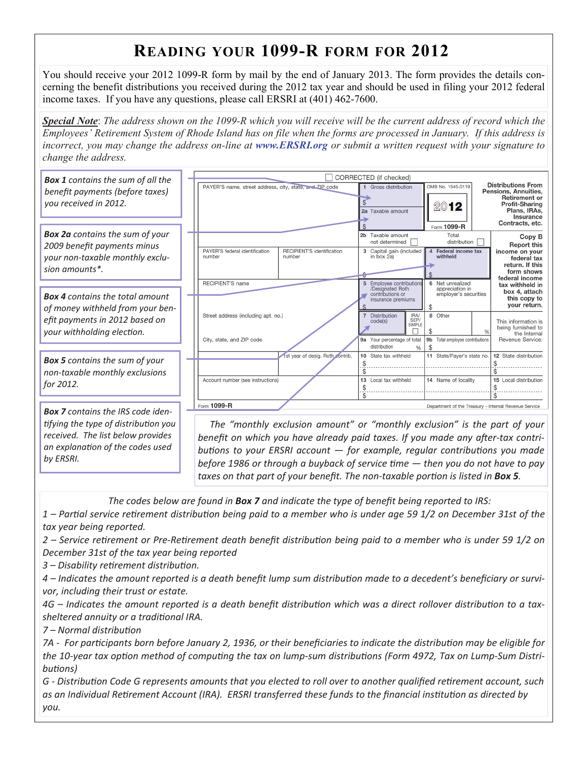# **READING YOUR 1099-R FORM FOR 2012**

You should receive your 2012 1099-R form by mail by the end of January 2013. The form provides the details concerning the benefit distributions you received during the 2012 tax year and should be used in filing your 2012 federal income taxes. If you have any questions, please call ERSRI at (401) 462-7600.

*Special Note*: *The address shown on the 1099-R which you will receive will be the current address of record which the Employees' Retirement System of Rhode Island has on file when the forms are processed in January. If this address is incorrect, you may change the address on-line at www.ERSRI.org or submit a written request with your signature to change the address.* 

| <b>Box 1</b> contains the sum of all the                                                         |  | CORRECTED (if checked)                                                          |                            |                      |                                              |                                                |               |                                                                               |  |
|--------------------------------------------------------------------------------------------------|--|---------------------------------------------------------------------------------|----------------------------|----------------------|----------------------------------------------|------------------------------------------------|---------------|-------------------------------------------------------------------------------|--|
| benefit payments (before taxes)                                                                  |  | PAYER'S name, street address, city, state, and <sup>7IP</sup> code              |                            | 1 Gross distribution |                                              | OMB No. 1545-0119                              |               | <b>Distributions From</b><br>Pensions, Annuities,                             |  |
| you received in 2012.                                                                            |  |                                                                                 |                            |                      | Taxable amount                               | 2012                                           |               | <b>Retirement or</b><br><b>Profit-Sharing</b><br>Plans, IRAs,                 |  |
|                                                                                                  |  |                                                                                 |                            | 2a                   |                                              |                                                |               | Insurance<br>Contracts, etc.                                                  |  |
| <b>Box 2a</b> contains the sum of your<br>2009 benefit payments minus                            |  |                                                                                 |                            |                      | Taxable amount                               | Form 1099-R<br>Total                           |               | Copy B                                                                        |  |
|                                                                                                  |  | PAYER'S federal identification                                                  | RECIPIENT'S identification |                      | not determined                               | distribution                                   |               | <b>Report this</b>                                                            |  |
| your non-taxable monthly exclu-                                                                  |  | number                                                                          | number                     | 3                    | Capital gain (included<br>in box 2a)         | Federal income tax<br>4<br>withheld            |               | income on your<br>federal tax                                                 |  |
| sion amounts*.                                                                                   |  |                                                                                 |                            |                      |                                              |                                                |               | return. If this<br>form shows                                                 |  |
|                                                                                                  |  | RECIPIENT'S name                                                                |                            |                      | 5 Employee contributions<br>/Designated Roth | 6 Net unrealized<br>appreciation in            |               | federal income<br>tax withheld in                                             |  |
| <b>Box 4</b> contains the total amount                                                           |  |                                                                                 |                            |                      | contributions or<br>insurance premiums       | employer's securities                          |               | box 4, attach<br>this copy to<br>your return.                                 |  |
| of money withheld from your ben-<br>efit payments in 2012 based on<br>your withholding election. |  | Street address (including apt. no.)                                             |                            |                      | Distribution<br>IRA/                         | 8 Other                                        |               |                                                                               |  |
|                                                                                                  |  |                                                                                 |                            |                      | SEP/<br>code(s)<br>SIMPLE                    | S                                              | $\frac{0}{0}$ | This information is<br>being furnished to<br>the Internal<br>Revenue Service. |  |
|                                                                                                  |  | City, state, and ZIP code                                                       |                            | 9а                   | Your percentage of total<br>distribution     | 9 <sub>b</sub><br>Total employee contributions |               |                                                                               |  |
| <b>Box 5</b> contains the sum of your                                                            |  | 1st year of desig. Roth contrib.                                                |                            |                      | 10 State tax withheld                        | 11 State/Payer's state no.                     |               | 12 State distribution                                                         |  |
| non-taxable monthly exclusions                                                                   |  |                                                                                 |                            |                      |                                              |                                                |               |                                                                               |  |
| for 2012.                                                                                        |  | Account number (see instructions)                                               |                            |                      | 13 Local tax withheld                        | 14 Name of locality                            |               | 15 Local distribution                                                         |  |
|                                                                                                  |  | Form 1099-R                                                                     |                            |                      |                                              |                                                |               |                                                                               |  |
| <b>Box 7</b> contains the IRS code iden-                                                         |  | Department of the Treasury - Internal Revenue Service                           |                            |                      |                                              |                                                |               |                                                                               |  |
| tifying the type of distribution you                                                             |  | The "monthly exclusion amount" or "monthly exclusion" is the part of your       |                            |                      |                                              |                                                |               |                                                                               |  |
| received. The list below provides                                                                |  | benefit on which you have already naid taxes. If you made any after-tax contri- |                            |                      |                                              |                                                |               |                                                                               |  |

*henefit on which you have already paid taxes.* If you made any after-tax contri*buƟons to your ERSRI account — for example, regular contribuƟons you made before 1986 or through a buyback of service Ɵme — then you do not have to pay taxes on that part of your benefit. The non‐taxable porƟon is listed in Box 5.*

The codes below are found in Box 7 and indicate the type of benefit being reported to IRS:

1 – Partial service retirement distribution being paid to a member who is under age 59 1/2 on December 31st of the *tax year being reported.*

2 – Service retirement or Pre-Retirement death benefit distribution being paid to a member who is under 59 1/2 on *December 31st of the tax year being reported*

*3 – Disability reƟrement distribuƟon.*

*an explanaƟon of the codes used*

*by ERSRI.* 

4 – Indicates the amount reported is a death benefit lump sum distribution made to a decedent's beneficiary or survi*vor, including their trust or estate.*

4G – Indicates the amount reported is a death benefit distribution which was a direct rollover distribution to a tax*sheltered annuity or a tradiƟonal IRA.*

*7 – Normal distribuƟon*

7A - For participants born before January 2, 1936, or their beneficiaries to indicate the distribution may be eligible for the 10-year tax option method of computing the tax on lump-sum distributions (Form 4972, Tax on Lump-Sum Distri*buƟons)*

G - Distribution Code G represents amounts that you elected to roll over to another qualified retirement account, such as an Individual Retirement Account (IRA). ERSRI transferred these funds to the financial institution as directed by *you.*